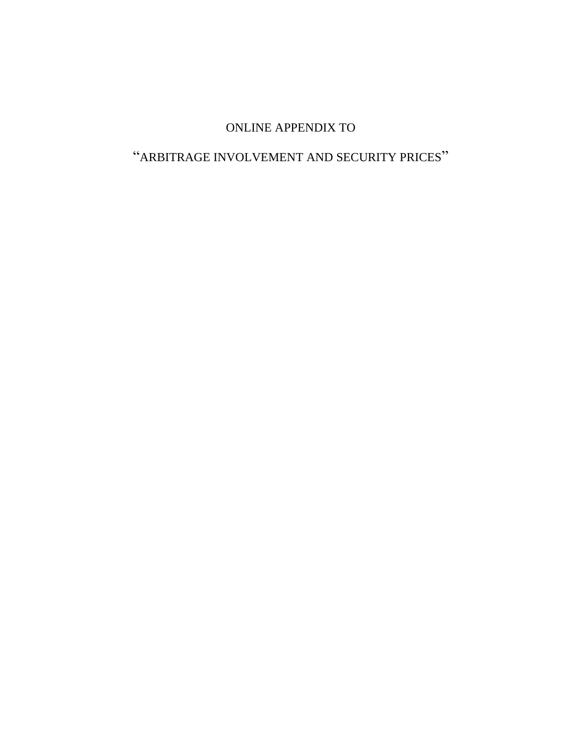# ONLINE APPENDIX TO

# "ARBITRAGE INVOLVEMENT AND SECURITY PRICES"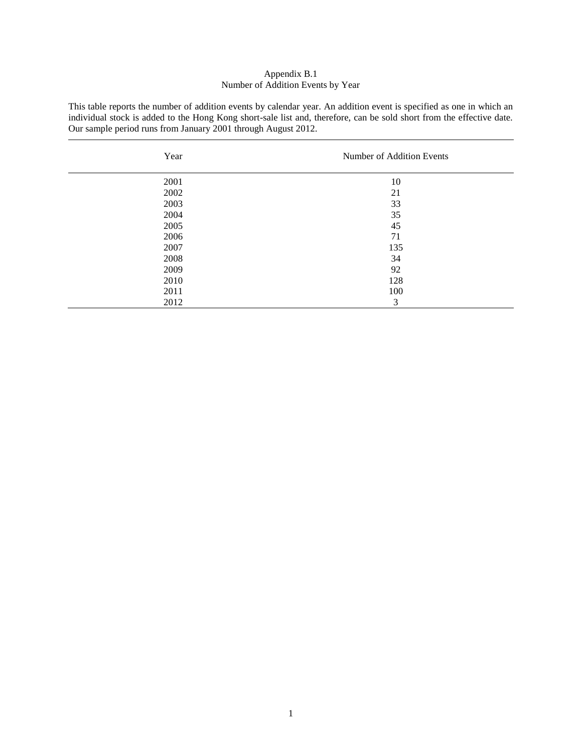# Appendix B.1 Number of Addition Events by Year

This table reports the number of addition events by calendar year. An addition event is specified as one in which an individual stock is added to the Hong Kong short-sale list and, therefore, can be sold short from the effective date. Our sample period runs from January 2001 through August 2012.

| Year | Number of Addition Events |
|------|---------------------------|
| 2001 | 10                        |
| 2002 | 21                        |
| 2003 | 33                        |
| 2004 | 35                        |
| 2005 | 45                        |
| 2006 | 71                        |
| 2007 | 135                       |
| 2008 | 34                        |
| 2009 | 92                        |
| 2010 | 128                       |
| 2011 | 100                       |
| 2012 | 3                         |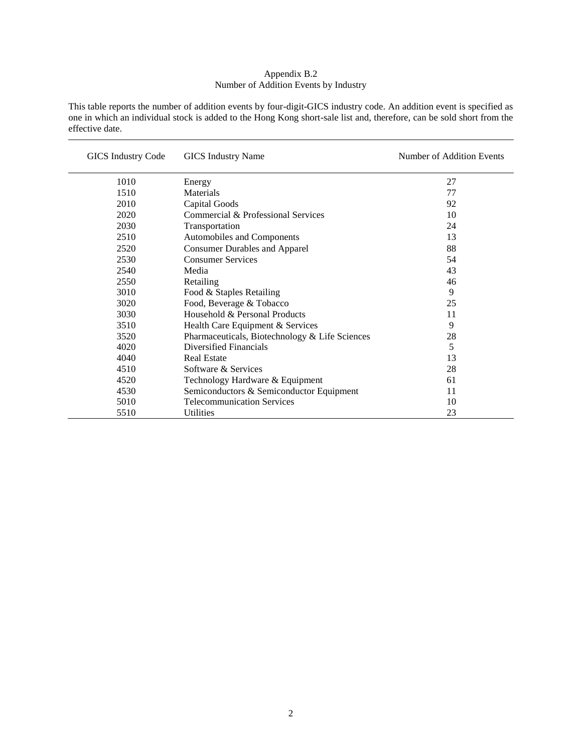# Appendix B.2 Number of Addition Events by Industry

This table reports the number of addition events by four-digit-GICS industry code. An addition event is specified as one in which an individual stock is added to the Hong Kong short-sale list and, therefore, can be sold short from the effective date.

| GICS Industry Code | <b>GICS</b> Industry Name                      | Number of Addition Events |
|--------------------|------------------------------------------------|---------------------------|
| 1010               | Energy                                         | 27                        |
| 1510               | Materials                                      | 77                        |
| 2010               | <b>Capital Goods</b>                           | 92                        |
| 2020               | Commercial & Professional Services             | 10                        |
| 2030               | Transportation                                 | 24                        |
| 2510               | Automobiles and Components                     | 13                        |
| 2520               | <b>Consumer Durables and Apparel</b>           | 88                        |
| 2530               | <b>Consumer Services</b>                       | 54                        |
| 2540               | Media                                          | 43                        |
| 2550               | Retailing                                      | 46                        |
| 3010               | Food & Staples Retailing                       | 9                         |
| 3020               | Food, Beverage & Tobacco                       | 25                        |
| 3030               | Household & Personal Products                  | 11                        |
| 3510               | Health Care Equipment & Services               | 9                         |
| 3520               | Pharmaceuticals, Biotechnology & Life Sciences | 28                        |
| 4020               | Diversified Financials                         | 5                         |
| 4040               | <b>Real Estate</b>                             | 13                        |
| 4510               | Software & Services                            | 28                        |
| 4520               | Technology Hardware & Equipment                | 61                        |
| 4530               | Semiconductors & Semiconductor Equipment       | 11                        |
| 5010               | <b>Telecommunication Services</b>              | 10                        |
| 5510               | Utilities                                      | 23                        |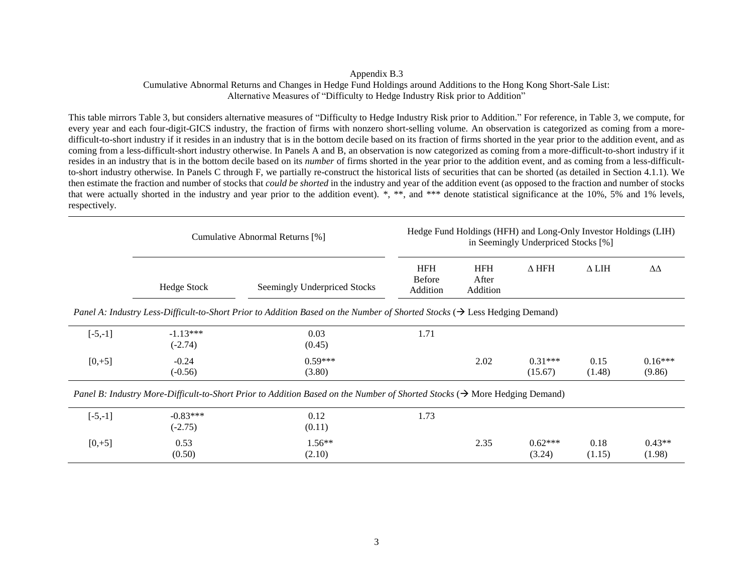#### Appendix B.3

Cumulative Abnormal Returns and Changes in Hedge Fund Holdings around Additions to the Hong Kong Short-Sale List: Alternative Measures of "Difficulty to Hedge Industry Risk prior to Addition"

This table mirrors Table 3, but considers alternative measures of "Difficulty to Hedge Industry Risk prior to Addition." For reference, in Table 3, we compute, for every year and each four-digit-GICS industry, the fraction of firms with nonzero short-selling volume. An observation is categorized as coming from a moredifficult-to-short industry if it resides in an industry that is in the bottom decile based on its fraction of firms shorted in the year prior to the addition event, and as coming from a less-difficult-short industry otherwise. In Panels A and B, an observation is now categorized as coming from a more-difficult-to-short industry if it resides in an industry that is in the bottom decile based on its *number* of firms shorted in the year prior to the addition event, and as coming from a less-difficultto-short industry otherwise. In Panels C through F, we partially re-construct the historical lists of securities that can be shorted (as detailed in Section 4.1.1). We then estimate the fraction and number of stocks that *could be shorted* in the industry and year of the addition event (as opposed to the fraction and number of stocks that were actually shorted in the industry and year prior to the addition event). \*, \*\*, and \*\*\* denote statistical significance at the 10%, 5% and 1% levels, respectively.

|                                                                                                                                        | Cumulative Abnormal Returns [%] | Hedge Fund Holdings (HFH) and Long-Only Investor Holdings (LIH)<br>in Seemingly Underpriced Stocks [%]                                 |                                         |                                 |                      |                |                     |
|----------------------------------------------------------------------------------------------------------------------------------------|---------------------------------|----------------------------------------------------------------------------------------------------------------------------------------|-----------------------------------------|---------------------------------|----------------------|----------------|---------------------|
|                                                                                                                                        | Hedge Stock                     | Seemingly Underpriced Stocks                                                                                                           | <b>HFH</b><br><b>Before</b><br>Addition | <b>HFH</b><br>After<br>Addition | $\Delta$ HFH         | $\Delta$ LIH   | ΔΔ                  |
| Panel A: Industry Less-Difficult-to-Short Prior to Addition Based on the Number of Shorted Stocks ( $\rightarrow$ Less Hedging Demand) |                                 |                                                                                                                                        |                                         |                                 |                      |                |                     |
| $[-5,-1]$                                                                                                                              | $-1.13***$<br>$(-2.74)$         | 0.03<br>(0.45)                                                                                                                         | 1.71                                    |                                 |                      |                |                     |
| $[0, +5]$                                                                                                                              | $-0.24$<br>$(-0.56)$            | $0.59***$<br>(3.80)                                                                                                                    |                                         | 2.02                            | $0.31***$<br>(15.67) | 0.15<br>(1.48) | $0.16***$<br>(9.86) |
|                                                                                                                                        |                                 | Panel B: Industry More-Difficult-to-Short Prior to Addition Based on the Number of Shorted Stocks ( $\rightarrow$ More Hedging Demand) |                                         |                                 |                      |                |                     |
| $[-5,-1]$                                                                                                                              | $-0.83***$<br>$(-2.75)$         | 0.12<br>(0.11)                                                                                                                         | 1.73                                    |                                 |                      |                |                     |
| $[0, +5]$                                                                                                                              | 0.53<br>(0.50)                  | $1.56**$<br>(2.10)                                                                                                                     |                                         | 2.35                            | $0.62***$<br>(3.24)  | 0.18<br>(1.15) | $0.43**$<br>(1.98)  |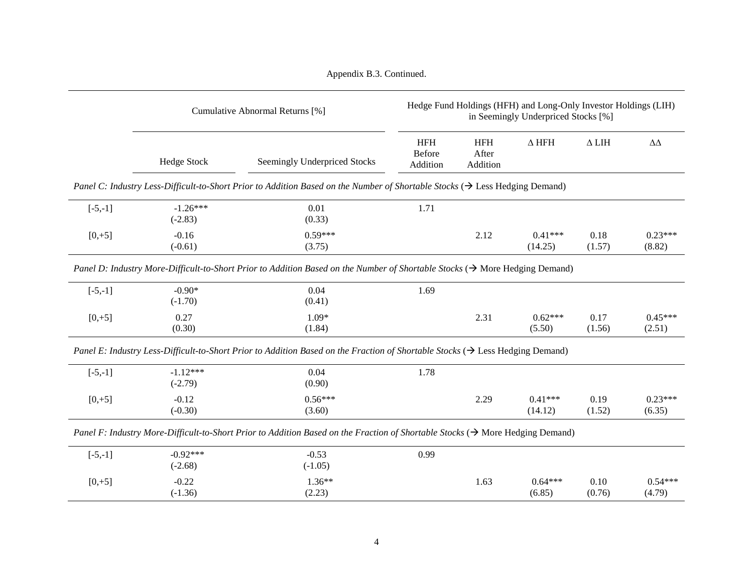|           | Cumulative Abnormal Returns [%] |                                                                                                                                            | Hedge Fund Holdings (HFH) and Long-Only Investor Holdings (LIH)<br>in Seemingly Underpriced Stocks [%] |                                 |                      |                |                     |  |
|-----------|---------------------------------|--------------------------------------------------------------------------------------------------------------------------------------------|--------------------------------------------------------------------------------------------------------|---------------------------------|----------------------|----------------|---------------------|--|
|           | <b>Hedge Stock</b>              | <b>Seemingly Underpriced Stocks</b>                                                                                                        | <b>HFH</b><br>Before<br>Addition                                                                       | <b>HFH</b><br>After<br>Addition | $\Delta$ HFH         | $\Delta$ LIH   | $\Delta\Delta$      |  |
|           |                                 | Panel C: Industry Less-Difficult-to-Short Prior to Addition Based on the Number of Shortable Stocks ( $\rightarrow$ Less Hedging Demand)   |                                                                                                        |                                 |                      |                |                     |  |
| $[-5,-1]$ | $-1.26***$<br>$(-2.83)$         | 0.01<br>(0.33)                                                                                                                             | 1.71                                                                                                   |                                 |                      |                |                     |  |
| $[0, +5]$ | $-0.16$<br>$(-0.61)$            | $0.59***$<br>(3.75)                                                                                                                        |                                                                                                        | 2.12                            | $0.41***$<br>(14.25) | 0.18<br>(1.57) | $0.23***$<br>(8.82) |  |
|           |                                 | Panel D: Industry More-Difficult-to-Short Prior to Addition Based on the Number of Shortable Stocks ( $\rightarrow$ More Hedging Demand)   |                                                                                                        |                                 |                      |                |                     |  |
| $[-5,-1]$ | $-0.90*$<br>$(-1.70)$           | 0.04<br>(0.41)                                                                                                                             | 1.69                                                                                                   |                                 |                      |                |                     |  |
| $[0, +5]$ | 0.27<br>(0.30)                  | $1.09*$<br>(1.84)                                                                                                                          |                                                                                                        | 2.31                            | $0.62***$<br>(5.50)  | 0.17<br>(1.56) | $0.45***$<br>(2.51) |  |
|           |                                 | Panel E: Industry Less-Difficult-to-Short Prior to Addition Based on the Fraction of Shortable Stocks ( $\rightarrow$ Less Hedging Demand) |                                                                                                        |                                 |                      |                |                     |  |
| $[-5,-1]$ | $-1.12***$<br>$(-2.79)$         | 0.04<br>(0.90)                                                                                                                             | 1.78                                                                                                   |                                 |                      |                |                     |  |
| $[0, +5]$ | $-0.12$<br>$(-0.30)$            | $0.56***$<br>(3.60)                                                                                                                        |                                                                                                        | 2.29                            | $0.41***$<br>(14.12) | 0.19<br>(1.52) | $0.23***$<br>(6.35) |  |
|           |                                 | Panel F: Industry More-Difficult-to-Short Prior to Addition Based on the Fraction of Shortable Stocks ( $\rightarrow$ More Hedging Demand) |                                                                                                        |                                 |                      |                |                     |  |
| $[-5,-1]$ | $-0.92***$<br>$(-2.68)$         | $-0.53$<br>$(-1.05)$                                                                                                                       | 0.99                                                                                                   |                                 |                      |                |                     |  |
| $[0, +5]$ | $-0.22$                         | $1.36**$                                                                                                                                   |                                                                                                        | 1.63                            | $0.64***$            | 0.10           | $0.54***$           |  |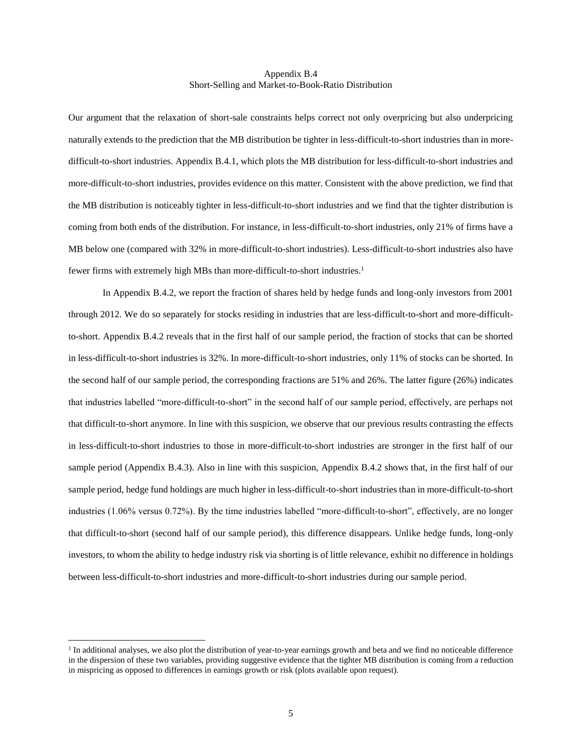#### Appendix B.4 Short-Selling and Market-to-Book-Ratio Distribution

Our argument that the relaxation of short-sale constraints helps correct not only overpricing but also underpricing naturally extends to the prediction that the MB distribution be tighter in less-difficult-to-short industries than in moredifficult-to-short industries. Appendix B.4.1, which plots the MB distribution for less-difficult-to-short industries and more-difficult-to-short industries, provides evidence on this matter. Consistent with the above prediction, we find that the MB distribution is noticeably tighter in less-difficult-to-short industries and we find that the tighter distribution is coming from both ends of the distribution. For instance, in less-difficult-to-short industries, only 21% of firms have a MB below one (compared with 32% in more-difficult-to-short industries). Less-difficult-to-short industries also have fewer firms with extremely high MBs than more-difficult-to-short industries.<sup>1</sup>

In Appendix B.4.2, we report the fraction of shares held by hedge funds and long-only investors from 2001 through 2012. We do so separately for stocks residing in industries that are less-difficult-to-short and more-difficultto-short. Appendix B.4.2 reveals that in the first half of our sample period, the fraction of stocks that can be shorted in less-difficult-to-short industries is 32%. In more-difficult-to-short industries, only 11% of stocks can be shorted. In the second half of our sample period, the corresponding fractions are 51% and 26%. The latter figure (26%) indicates that industries labelled "more-difficult-to-short" in the second half of our sample period, effectively, are perhaps not that difficult-to-short anymore. In line with this suspicion, we observe that our previous results contrasting the effects in less-difficult-to-short industries to those in more-difficult-to-short industries are stronger in the first half of our sample period (Appendix B.4.3). Also in line with this suspicion, Appendix B.4.2 shows that, in the first half of our sample period, hedge fund holdings are much higher in less-difficult-to-short industries than in more-difficult-to-short industries (1.06% versus 0.72%). By the time industries labelled "more-difficult-to-short", effectively, are no longer that difficult-to-short (second half of our sample period), this difference disappears. Unlike hedge funds, long-only investors, to whom the ability to hedge industry risk via shorting is of little relevance, exhibit no difference in holdings between less-difficult-to-short industries and more-difficult-to-short industries during our sample period.

 $\overline{a}$ 

<sup>&</sup>lt;sup>1</sup> In additional analyses, we also plot the distribution of year-to-year earnings growth and beta and we find no noticeable difference in the dispersion of these two variables, providing suggestive evidence that the tighter MB distribution is coming from a reduction in mispricing as opposed to differences in earnings growth or risk (plots available upon request).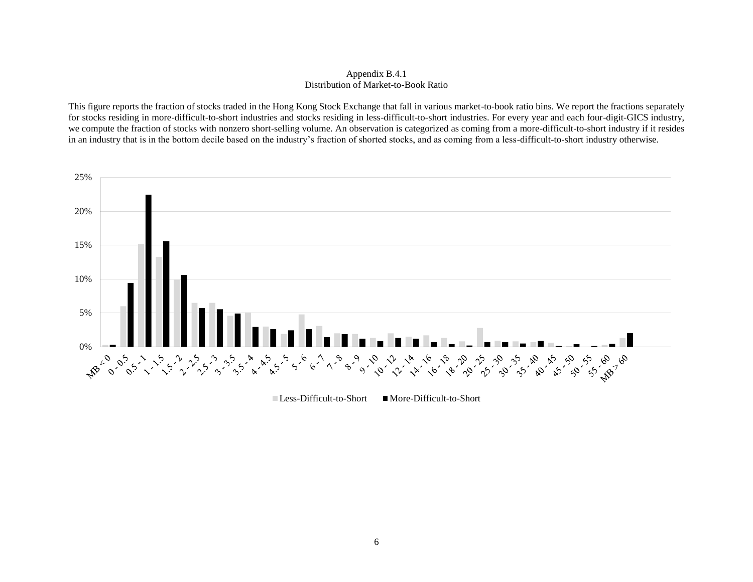### Appendix B.4.1 Distribution of Market-to-Book Ratio

This figure reports the fraction of stocks traded in the Hong Kong Stock Exchange that fall in various market-to-book ratio bins. We report the fractions separately for stocks residing in more-difficult-to-short industries and stocks residing in less-difficult-to-short industries. For every year and each four-digit-GICS industry, we compute the fraction of stocks with nonzero short-selling volume. An observation is categorized as coming from a more-difficult-to-short industry if it resides in an industry that is in the bottom decile based on the industry's fraction of shorted stocks, and as coming from a less-difficult-to-short industry otherwise.



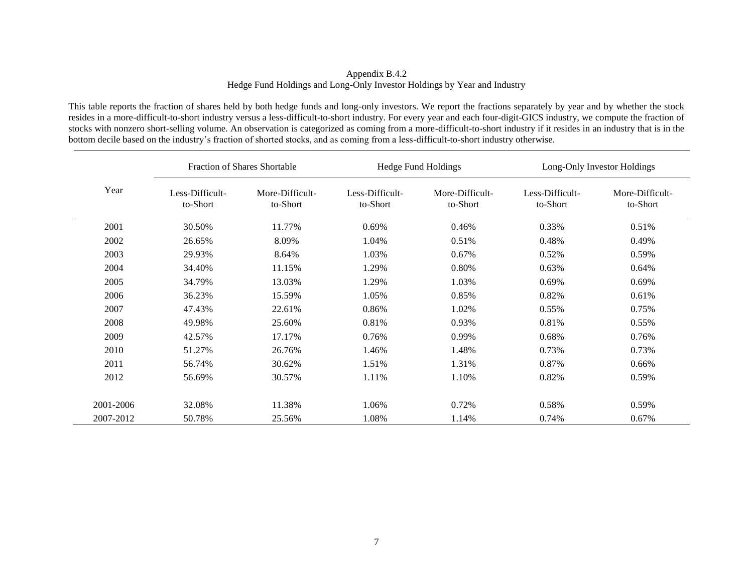# Appendix B.4.2 Hedge Fund Holdings and Long-Only Investor Holdings by Year and Industry

This table reports the fraction of shares held by both hedge funds and long-only investors. We report the fractions separately by year and by whether the stock resides in a more-difficult-to-short industry versus a less-difficult-to-short industry. For every year and each four-digit-GICS industry, we compute the fraction of stocks with nonzero short-selling volume. An observation is categorized as coming from a more-difficult-to-short industry if it resides in an industry that is in the bottom decile based on the industry's fraction of shorted stocks, and as coming from a less-difficult-to-short industry otherwise.

|           | <b>Fraction of Shares Shortable</b> |                             |                             | Hedge Fund Holdings         | Long-Only Investor Holdings |                             |  |
|-----------|-------------------------------------|-----------------------------|-----------------------------|-----------------------------|-----------------------------|-----------------------------|--|
| Year      | Less-Difficult-<br>to-Short         | More-Difficult-<br>to-Short | Less-Difficult-<br>to-Short | More-Difficult-<br>to-Short | Less-Difficult-<br>to-Short | More-Difficult-<br>to-Short |  |
| 2001      | 30.50%                              | 11.77%                      | 0.69%                       | 0.46%                       | 0.33%                       | 0.51%                       |  |
| 2002      | 26.65%                              | 8.09%                       | 1.04%                       | 0.51%                       | 0.48%                       | 0.49%                       |  |
| 2003      | 29.93%                              | 8.64%                       | 1.03%                       | 0.67%                       | 0.52%                       | 0.59%                       |  |
| 2004      | 34.40%                              | 11.15%                      | 1.29%                       | 0.80%                       | 0.63%                       | 0.64%                       |  |
| 2005      | 34.79%                              | 13.03%                      | 1.29%                       | 1.03%                       | 0.69%                       | 0.69%                       |  |
| 2006      | 36.23%                              | 15.59%                      | 1.05%                       | 0.85%                       | 0.82%                       | 0.61%                       |  |
| 2007      | 47.43%                              | 22.61%                      | 0.86%                       | 1.02%                       | 0.55%                       | 0.75%                       |  |
| 2008      | 49.98%                              | 25.60%                      | 0.81%                       | 0.93%                       | 0.81%                       | 0.55%                       |  |
| 2009      | 42.57%                              | 17.17%                      | 0.76%                       | 0.99%                       | 0.68%                       | 0.76%                       |  |
| 2010      | 51.27%                              | 26.76%                      | 1.46%                       | 1.48%                       | 0.73%                       | 0.73%                       |  |
| 2011      | 56.74%                              | 30.62%                      | 1.51%                       | 1.31%                       | 0.87%                       | 0.66%                       |  |
| 2012      | 56.69%                              | 30.57%                      | 1.11%                       | 1.10%                       | 0.82%                       | 0.59%                       |  |
| 2001-2006 | 32.08%                              | 11.38%                      | 1.06%                       | 0.72%                       | 0.58%                       | 0.59%                       |  |
| 2007-2012 | 50.78%                              | 25.56%                      | 1.08%                       | 1.14%                       | 0.74%                       | 0.67%                       |  |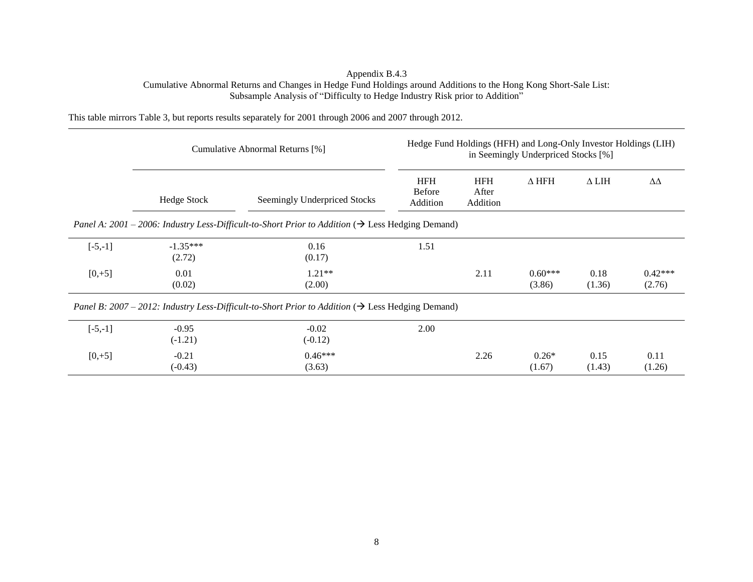# Appendix B.4.3 Cumulative Abnormal Returns and Changes in Hedge Fund Holdings around Additions to the Hong Kong Short-Sale List: Subsample Analysis of "Difficulty to Hedge Industry Risk prior to Addition"

This table mirrors Table 3, but reports results separately for 2001 through 2006 and 2007 through 2012.

|           | Cumulative Abnormal Returns [%]                                                                               |                                                                                                               | Hedge Fund Holdings (HFH) and Long-Only Investor Holdings (LIH)<br>in Seemingly Underpriced Stocks [%] |                                 |                     |                |                     |  |  |
|-----------|---------------------------------------------------------------------------------------------------------------|---------------------------------------------------------------------------------------------------------------|--------------------------------------------------------------------------------------------------------|---------------------------------|---------------------|----------------|---------------------|--|--|
|           | Hedge Stock                                                                                                   | Seemingly Underpriced Stocks                                                                                  | <b>HFH</b><br><b>Before</b><br>Addition                                                                | <b>HFH</b><br>After<br>Addition | $\Delta$ HFH        | $\Delta$ LIH   | ΔΔ                  |  |  |
|           | Panel A: 2001 – 2006: Industry Less-Difficult-to-Short Prior to Addition ( $\rightarrow$ Less Hedging Demand) |                                                                                                               |                                                                                                        |                                 |                     |                |                     |  |  |
| $[-5,-1]$ | $-1.35***$<br>(2.72)                                                                                          | 0.16<br>(0.17)                                                                                                | 1.51                                                                                                   |                                 |                     |                |                     |  |  |
| $[0, +5]$ | 0.01<br>(0.02)                                                                                                | $1.21**$<br>(2.00)                                                                                            |                                                                                                        | 2.11                            | $0.60***$<br>(3.86) | 0.18<br>(1.36) | $0.42***$<br>(2.76) |  |  |
|           |                                                                                                               | Panel B: 2007 – 2012: Industry Less-Difficult-to-Short Prior to Addition ( $\rightarrow$ Less Hedging Demand) |                                                                                                        |                                 |                     |                |                     |  |  |
| $[-5,-1]$ | $-0.95$<br>$(-1.21)$                                                                                          | $-0.02$<br>$(-0.12)$                                                                                          | 2.00                                                                                                   |                                 |                     |                |                     |  |  |
| $[0, +5]$ | $-0.21$<br>$(-0.43)$                                                                                          | $0.46***$<br>(3.63)                                                                                           |                                                                                                        | 2.26                            | $0.26*$<br>(1.67)   | 0.15<br>(1.43) | 0.11<br>(1.26)      |  |  |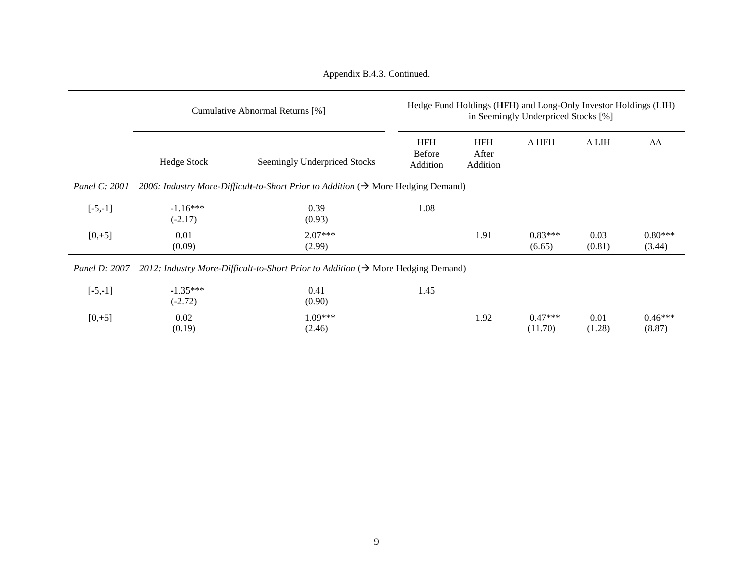|           | Cumulative Abnormal Returns [%] |                                                                                                               | Hedge Fund Holdings (HFH) and Long-Only Investor Holdings (LIH)<br>in Seemingly Underpriced Stocks [%] |                                 |                      |                |                     |  |
|-----------|---------------------------------|---------------------------------------------------------------------------------------------------------------|--------------------------------------------------------------------------------------------------------|---------------------------------|----------------------|----------------|---------------------|--|
|           | <b>Hedge Stock</b>              | Seemingly Underpriced Stocks                                                                                  | <b>HFH</b><br><b>Before</b><br>Addition                                                                | <b>HFH</b><br>After<br>Addition | $\Delta$ HFH         | $\Delta$ LIH   | ΔΔ                  |  |
|           |                                 | Panel C: 2001 – 2006: Industry More-Difficult-to-Short Prior to Addition ( $\rightarrow$ More Hedging Demand) |                                                                                                        |                                 |                      |                |                     |  |
| $[-5,-1]$ | $-1.16***$<br>$(-2.17)$         | 0.39<br>(0.93)                                                                                                | 1.08                                                                                                   |                                 |                      |                |                     |  |
| $[0, +5]$ | 0.01<br>(0.09)                  | $2.07***$<br>(2.99)                                                                                           |                                                                                                        | 1.91                            | $0.83***$<br>(6.65)  | 0.03<br>(0.81) | $0.80***$<br>(3.44) |  |
|           |                                 | Panel D: 2007 – 2012: Industry More-Difficult-to-Short Prior to Addition ( $\rightarrow$ More Hedging Demand) |                                                                                                        |                                 |                      |                |                     |  |
| $[-5,-1]$ | $-1.35***$<br>$(-2.72)$         | 0.41<br>(0.90)                                                                                                | 1.45                                                                                                   |                                 |                      |                |                     |  |
| $[0, +5]$ | 0.02<br>(0.19)                  | 1.09***<br>(2.46)                                                                                             |                                                                                                        | 1.92                            | $0.47***$<br>(11.70) | 0.01<br>(1.28) | $0.46***$<br>(8.87) |  |

Appendix B.4.3. Continued.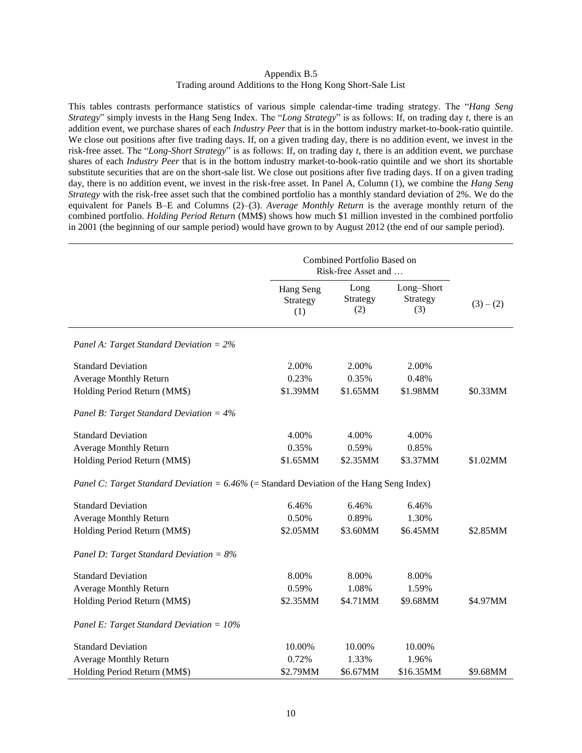# Appendix B.5 Trading around Additions to the Hong Kong Short-Sale List

This tables contrasts performance statistics of various simple calendar-time trading strategy. The "*Hang Seng Strategy*" simply invests in the Hang Seng Index. The "*Long Strategy*" is as follows: If, on trading day *t*, there is an addition event, we purchase shares of each *Industry Peer* that is in the bottom industry market-to-book-ratio quintile. We close out positions after five trading days. If, on a given trading day, there is no addition event, we invest in the risk-free asset. The "*Long-Short Strategy*" is as follows: If, on trading day *t*, there is an addition event, we purchase shares of each *Industry Peer* that is in the bottom industry market-to-book-ratio quintile and we short its shortable substitute securities that are on the short-sale list. We close out positions after five trading days. If on a given trading day, there is no addition event, we invest in the risk-free asset. In Panel A, Column (1), we combine the *Hang Seng Strategy* with the risk-free asset such that the combined portfolio has a monthly standard deviation of 2%. We do the equivalent for Panels B–E and Columns (2)–(3). *Average Monthly Return* is the average monthly return of the combined portfolio. *Holding Period Return* (MM\$) shows how much \$1 million invested in the combined portfolio in 2001 (the beginning of our sample period) would have grown to by August 2012 (the end of our sample period).

|                                                                                             | Combined Portfolio Based on<br>Risk-free Asset and |                         |                               |           |
|---------------------------------------------------------------------------------------------|----------------------------------------------------|-------------------------|-------------------------------|-----------|
|                                                                                             | Hang Seng<br>Strategy<br>(1)                       | Long<br>Strategy<br>(2) | Long-Short<br>Strategy<br>(3) | $(3)-(2)$ |
| Panel A: Target Standard Deviation = $2\%$                                                  |                                                    |                         |                               |           |
| <b>Standard Deviation</b>                                                                   | 2.00%                                              | 2.00%                   | 2.00%                         |           |
| Average Monthly Return                                                                      | 0.23%                                              | 0.35%                   | 0.48%                         |           |
| Holding Period Return (MM\$)                                                                | \$1.39MM                                           | \$1.65MM                | \$1.98MM                      | \$0.33MM  |
| Panel B: Target Standard Deviation = $4\%$                                                  |                                                    |                         |                               |           |
| <b>Standard Deviation</b>                                                                   | 4.00%                                              | 4.00%                   | 4.00%                         |           |
| <b>Average Monthly Return</b>                                                               | 0.35%                                              | 0.59%                   | 0.85%                         |           |
| Holding Period Return (MM\$)                                                                | \$1.65MM                                           | \$2.35MM                | \$3.37MM                      | \$1.02MM  |
| Panel C: Target Standard Deviation = $6.46\%$ (= Standard Deviation of the Hang Seng Index) |                                                    |                         |                               |           |
| <b>Standard Deviation</b>                                                                   | 6.46%                                              | 6.46%                   | 6.46%                         |           |
| <b>Average Monthly Return</b>                                                               | 0.50%                                              | 0.89%                   | 1.30%                         |           |
| Holding Period Return (MM\$)                                                                | \$2.05MM                                           | \$3.60MM                | \$6.45MM                      | \$2.85MM  |
| Panel D: Target Standard Deviation = $8\%$                                                  |                                                    |                         |                               |           |
| <b>Standard Deviation</b>                                                                   | 8.00%                                              | 8.00%                   | 8.00%                         |           |
| Average Monthly Return                                                                      | 0.59%                                              | 1.08%                   | 1.59%                         |           |
| Holding Period Return (MM\$)                                                                | \$2.35MM                                           | \$4.71MM                | \$9.68MM                      | \$4.97MM  |
| Panel E: Target Standard Deviation = $10\%$                                                 |                                                    |                         |                               |           |
| <b>Standard Deviation</b>                                                                   | 10.00%                                             | 10.00%                  | 10.00%                        |           |
| <b>Average Monthly Return</b>                                                               | 0.72%                                              | 1.33%                   | 1.96%                         |           |
| Holding Period Return (MM\$)                                                                | \$2.79MM                                           | \$6.67MM                | \$16.35MM                     | \$9.68MM  |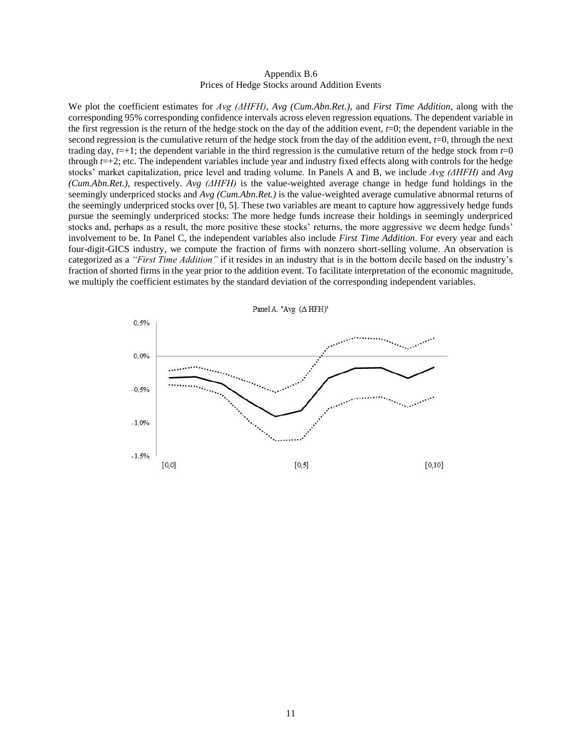#### Appendix B.6 Prices of Hedge Stocks around Addition Events

We plot the coefficient estimates for *Avg (ΔHFH)*, *Avg (Cum.Abn.Ret.)*, and *First Time Addition*, along with the corresponding 95% corresponding confidence intervals across eleven regression equations*.* The dependent variable in the first regression is the return of the hedge stock on the day of the addition event,  $t=0$ ; the dependent variable in the second regression is the cumulative return of the hedge stock from the day of the addition event, *t*=0, through the next trading day,  $t=+1$ ; the dependent variable in the third regression is the cumulative return of the hedge stock from  $t=0$ through *t*=+2; etc. The independent variables include year and industry fixed effects along with controls for the hedge stocks' market capitalization, price level and trading volume. In Panels A and B, we include *Avg (ΔHFH)* and *Avg (Cum.Abn.Ret.)*, respectively. *Avg (ΔHFH)* is the value-weighted average change in hedge fund holdings in the seemingly underpriced stocks and *Avg (Cum.Abn.Ret.)* is the value-weighted average cumulative abnormal returns of the seemingly underpriced stocks over [0, 5]. These two variables are meant to capture how aggressively hedge funds pursue the seemingly underpriced stocks: The more hedge funds increase their holdings in seemingly underpriced stocks and, perhaps as a result, the more positive these stocks' returns, the more aggressive we deem hedge funds' involvement to be. In Panel C, the independent variables also include *First Time Addition*. For every year and each four-digit-GICS industry, we compute the fraction of firms with nonzero short-selling volume. An observation is categorized as a *"First Time Addition"* if it resides in an industry that is in the bottom decile based on the industry's fraction of shorted firms in the year prior to the addition event. To facilitate interpretation of the economic magnitude, we multiply the coefficient estimates by the standard deviation of the corresponding independent variables.

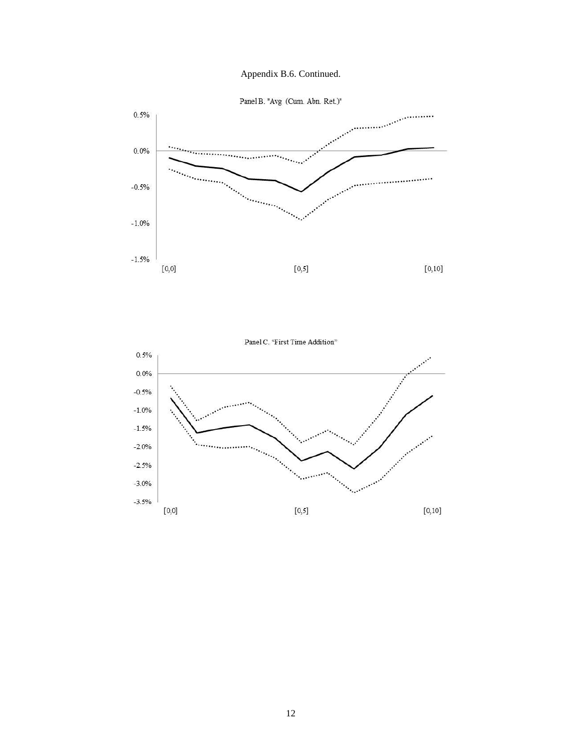



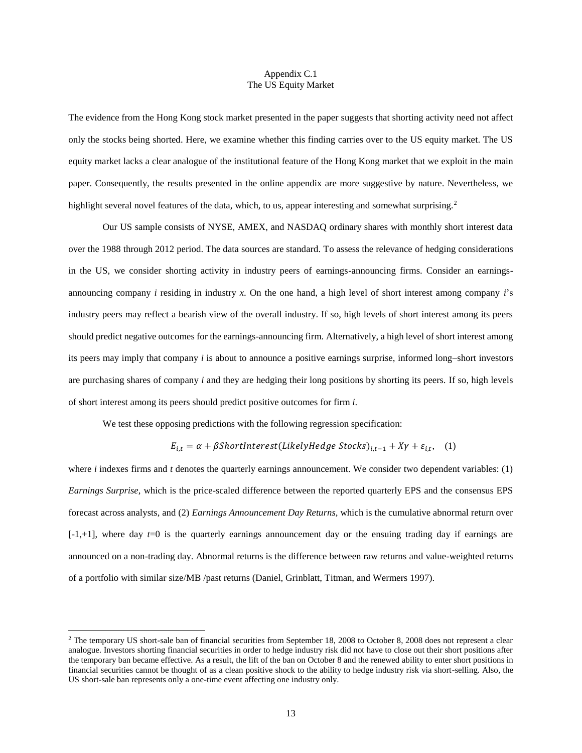#### Appendix C.1 The US Equity Market

The evidence from the Hong Kong stock market presented in the paper suggests that shorting activity need not affect only the stocks being shorted. Here, we examine whether this finding carries over to the US equity market. The US equity market lacks a clear analogue of the institutional feature of the Hong Kong market that we exploit in the main paper. Consequently, the results presented in the online appendix are more suggestive by nature. Nevertheless, we highlight several novel features of the data, which, to us, appear interesting and somewhat surprising.<sup>2</sup>

Our US sample consists of NYSE, AMEX, and NASDAQ ordinary shares with monthly short interest data over the 1988 through 2012 period. The data sources are standard. To assess the relevance of hedging considerations in the US, we consider shorting activity in industry peers of earnings-announcing firms. Consider an earningsannouncing company *i* residing in industry *x*. On the one hand, a high level of short interest among company *i*'s industry peers may reflect a bearish view of the overall industry. If so, high levels of short interest among its peers should predict negative outcomes for the earnings-announcing firm. Alternatively, a high level of short interest among its peers may imply that company *i* is about to announce a positive earnings surprise, informed long–short investors are purchasing shares of company *i* and they are hedging their long positions by shorting its peers. If so, high levels of short interest among its peers should predict positive outcomes for firm *i*.

We test these opposing predictions with the following regression specification:

 $\overline{\phantom{a}}$ 

 $E_{i,t} = \alpha + \beta$ ShortInterest(LikelyHedge Stocks)<sub>i,t−1</sub> + Xγ +  $\varepsilon_{i,t}$ , (1)

where *i* indexes firms and *t* denotes the quarterly earnings announcement. We consider two dependent variables: (1) *Earnings Surprise*, which is the price-scaled difference between the reported quarterly EPS and the consensus EPS forecast across analysts, and (2) *Earnings Announcement Day Returns*, which is the cumulative abnormal return over  $[-1, +1]$ , where day  $t=0$  is the quarterly earnings announcement day or the ensuing trading day if earnings are announced on a non-trading day. Abnormal returns is the difference between raw returns and value-weighted returns of a portfolio with similar size/MB /past returns (Daniel, Grinblatt, Titman, and Wermers 1997).

 $^2$  The temporary US short-sale ban of financial securities from September 18, 2008 to October 8, 2008 does not represent a clear analogue. Investors shorting financial securities in order to hedge industry risk did not have to close out their short positions after the temporary ban became effective. As a result, the lift of the ban on October 8 and the renewed ability to enter short positions in financial securities cannot be thought of as a clean positive shock to the ability to hedge industry risk via short-selling. Also, the US short-sale ban represents only a one-time event affecting one industry only.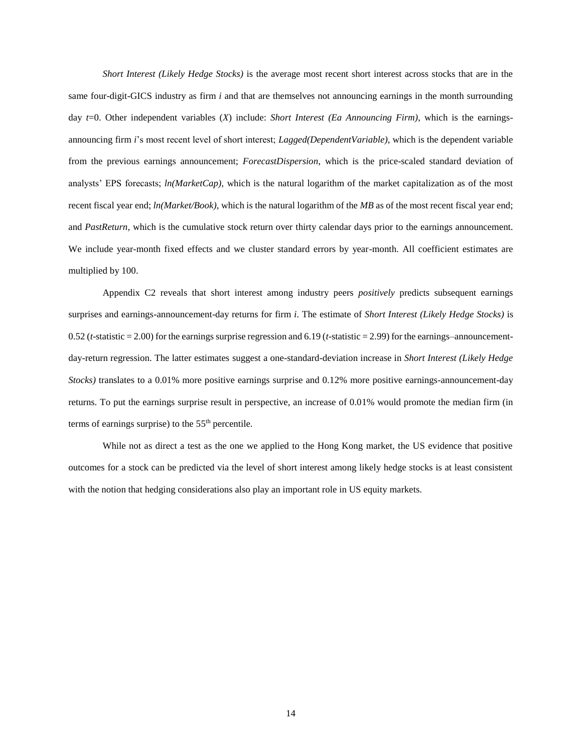*Short Interest (Likely Hedge Stocks)* is the average most recent short interest across stocks that are in the same four-digit-GICS industry as firm *i* and that are themselves not announcing earnings in the month surrounding day *t*=0. Other independent variables (*X*) include: *Short Interest (Ea Announcing Firm)*, which is the earningsannouncing firm *i*'s most recent level of short interest; *Lagged(DependentVariable)*, which is the dependent variable from the previous earnings announcement; *ForecastDispersion*, which is the price-scaled standard deviation of analysts' EPS forecasts; *ln(MarketCap)*, which is the natural logarithm of the market capitalization as of the most recent fiscal year end; *ln(Market/Book)*, which is the natural logarithm of the *MB* as of the most recent fiscal year end; and *PastReturn*, which is the cumulative stock return over thirty calendar days prior to the earnings announcement. We include year-month fixed effects and we cluster standard errors by year-month. All coefficient estimates are multiplied by 100.

Appendix C2 reveals that short interest among industry peers *positively* predicts subsequent earnings surprises and earnings-announcement-day returns for firm *i*. The estimate of *Short Interest (Likely Hedge Stocks)* is 0.52 (*t*-statistic = 2.00) for the earnings surprise regression and 6.19 (*t*-statistic = 2.99) for the earnings–announcementday-return regression. The latter estimates suggest a one-standard-deviation increase in *Short Interest (Likely Hedge Stocks)* translates to a 0.01% more positive earnings surprise and 0.12% more positive earnings-announcement-day returns. To put the earnings surprise result in perspective, an increase of 0.01% would promote the median firm (in terms of earnings surprise) to the  $55<sup>th</sup>$  percentile.

While not as direct a test as the one we applied to the Hong Kong market, the US evidence that positive outcomes for a stock can be predicted via the level of short interest among likely hedge stocks is at least consistent with the notion that hedging considerations also play an important role in US equity markets.